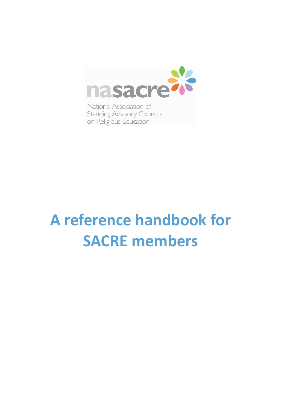

National Association of **Standing Advisory Councils** on Religious Education

# **A** reference handbook for **SACRE** members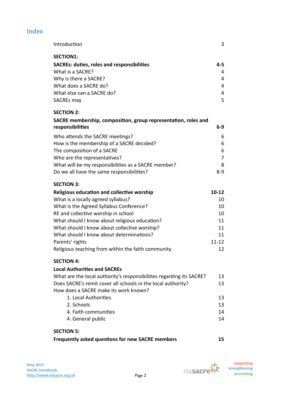| Introduction                                                         | 3         |
|----------------------------------------------------------------------|-----------|
| <b>SECTION1:</b>                                                     |           |
| <b>SACREs: duties, roles and responsibilities</b>                    | $4 - 5$   |
| What is a SACRE?                                                     | 4         |
| Why is there a SACRE?                                                | 4         |
| What does a SACRE do?                                                | 4         |
| What else can a SACRE do?                                            | 4         |
| SACREs may                                                           | 5         |
| <b>SECTION 2:</b>                                                    |           |
| SACRE membership, composition, group representation, roles and       |           |
| responsibilities                                                     | $6-9$     |
| Who attends the SACRE meetings?                                      | 6         |
| How is the membership of a SACRE decided?                            | 6         |
| The composition of a SACRE                                           | 6         |
| Who are the representatives?                                         | 7         |
| What will be my responsibilities as a SACRE member?                  | 8         |
| Do we all have the same responsibilities?                            | $8 - 9$   |
| <b>SECTION 3:</b>                                                    |           |
| Religious education and collective worship                           | $10 - 12$ |
| What is a locally agreed syllabus?                                   | 10        |
| What is the Agreed Syllabus Conference?                              | 10        |
| RE and collective worship in school                                  | 10        |
| What should I know about religious education?                        | 11        |
| What should I know about collective worship?                         | 11        |
| What should I know about determinations?                             | 11        |
| Parents' rights                                                      | $11 - 12$ |
| Religious teaching from within the faith community                   | 12        |
| <b>SECTION 4:</b>                                                    |           |
| <b>Local Authorities and SACRES</b>                                  |           |
| What are the local authority's responsibilities regarding its SACRE? | 13        |
| Does SACRE's remit cover all schools in the local authority?         | 13        |
| How does a SACRE make its work known?                                |           |
| 1. Local Authorities                                                 | 13        |
| 2. Schools                                                           | 13        |
| 4. Faith communities                                                 | 14        |
| 4. General public                                                    | 14        |
| <b>SECTION 5:</b>                                                    |           |
| Frequently asked questions for new SACRE members                     | 15        |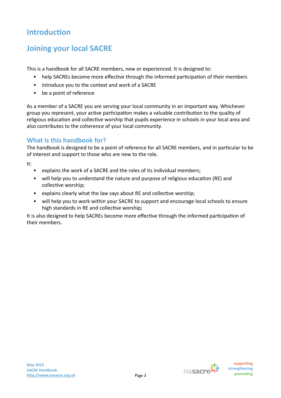# **Introduction**

# **Joining your local SACRE**

This is a handbook for all SACRE members, new or experienced. It is designed to:

- help SACREs become more effective through the informed participation of their members
- introduce you to the context and work of a SACRE
- be a point of reference

As a member of a SACRE you are serving your local community in an important way. Whichever group you represent, your active participation makes a valuable contribution to the quality of religious education and collective worship that pupils experience in schools in your local area and also contributes to the coherence of your local community.

# **What is this handbook for?**

The handbook is designed to be a point of reference for all SACRE members, and in particular to be of interest and support to those who are new to the role.

It: 

- explains the work of a SACRE and the roles of its individual members;
- will help you to understand the nature and purpose of religious education (RE) and collective worship;
- explains clearly what the law says about  $RE$  and collective worship;
- will help you to work within your SACRE to support and encourage local schools to ensure high standards in RE and collective worship;

It is also designed to help SACREs become more effective through the informed participation of their members.

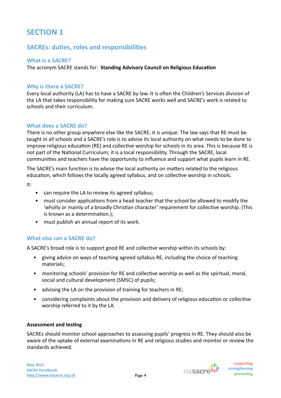# **SACREs: duties, roles and responsibilities**

**What is a SACRE?** 

The acronym SACRE stands for: **Standing Advisory Council on Religious Education** 

# **Why is there a SACRE?**

Every local authority (LA) has to have a SACRE by law. It is often the Children's Services division of the LA that takes responsibility for making sure SACRE works well and SACRE's work is related to schools and their curriculum.

# **What does a SACRE do?**

There is no other group anywhere else like the SACRE; it is unique. The law says that RE must be taught in all schools and a SACRE's role is to advise its local authority on what needs to be done to improve religious education (RE) and collective worship for schools in its area. This is because RE is not part of the National Curriculum; it is a local responsibility. Through the SACRE, local communities and teachers have the opportunity to influence and support what pupils learn in RE.

The SACRE's main function is to advise the local authority on matters related to the religious education, which follows the locally agreed syllabus, and on collective worship in schools.

It: 

- can require the LA to review its agreed syllabus;
- must consider applications from a head teacher that the school be allowed to modify the 'wholly or mainly of a broadly Christian character' requirement for collective worship. (This is known as a determination.);
- must publish an annual report of its work.

# **What else can a SACRE do?**

A SACRE's broad role is to support good RE and collective worship within its schools by:

- giving advice on ways of teaching agreed syllabus RE, including the choice of teaching materials;
- monitoring schools' provision for RE and collective worship as well as the spiritual, moral, social and cultural development (SMSC) of pupils;
- advising the LA on the provision of training for teachers in RE;
- considering complaints about the provision and delivery of religious education or collective worship referred to it by the LA.

#### **Assessment and testing**

SACREs should monitor school approaches to assessing pupils' progress in RE. They should also be aware of the uptake of external examinations in RE and religious studies and monitor or review the standards achieved.



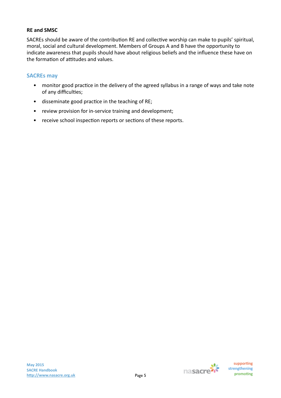# **RE** and SMSC

SACREs should be aware of the contribution RE and collective worship can make to pupils' spiritual, moral, social and cultural development. Members of Groups A and B have the opportunity to indicate awareness that pupils should have about religious beliefs and the influence these have on the formation of attitudes and values.

# **SACREs** may

- monitor good practice in the delivery of the agreed syllabus in a range of ways and take note of any difficulties;
- disseminate good practice in the teaching of RE;
- review provision for in-service training and development;
- receive school inspection reports or sections of these reports.

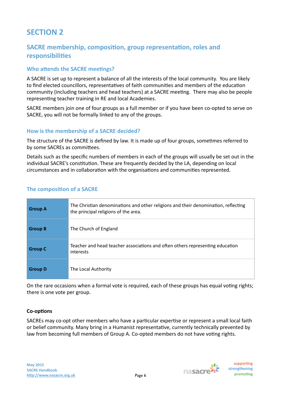# **SACRE** membership, composition, group representation, roles and **responsibilities**

# **Who attends the SACRE meetings?**

A SACRE is set up to represent a balance of all the interests of the local community. You are likely to find elected councillors, representatives of faith communities and members of the education community (including teachers and head teachers) at a SACRE meeting. There may also be people representing teacher training in RE and local Academies.

SACRE members join one of four groups as a full member or if you have been co-opted to serve on SACRE, you will not be formally linked to any of the groups.

# How is the membership of a SACRE decided?

The structure of the SACRE is defined by law. It is made up of four groups, sometimes referred to by some SACREs as committees.

Details such as the specific numbers of members in each of the groups will usually be set out in the individual SACRE's constitution. These are frequently decided by the LA, depending on local circumstances and in collaboration with the organisations and communities represented.

# **The composition of a SACRE**

| <b>Group A</b> | The Christian denominations and other religions and their denomination, reflecting<br>the principal religions of the area. |
|----------------|----------------------------------------------------------------------------------------------------------------------------|
| <b>Group B</b> | The Church of England                                                                                                      |
| <b>Group C</b> | Teacher and head teacher associations and often others representing education<br>interests                                 |
| <b>Group D</b> | The Local Authority                                                                                                        |

On the rare occasions when a formal vote is required, each of these groups has equal voting rights; there is one vote per group.

#### **Co-options**

SACREs may co-opt other members who have a particular expertise or represent a small local faith or belief community. Many bring in a Humanist representative, currently technically prevented by law from becoming full members of Group A. Co-opted members do not have voting rights.

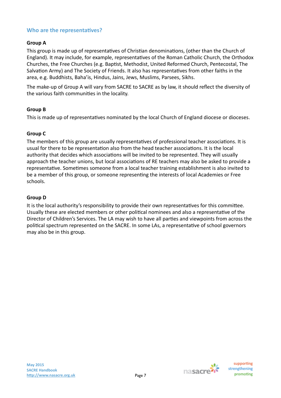# **Who are the representatives?**

# **Group A**

This group is made up of representatives of Christian denominations, (other than the Church of England). It may include, for example, representatives of the Roman Catholic Church, the Orthodox Churches, the Free Churches (e.g. Baptist, Methodist, United Reformed Church, Pentecostal, The Salvation Army) and The Society of Friends. It also has representatives from other faiths in the area, e.g. Buddhists, Baha'is, Hindus, Jains, Jews, Muslims, Parsees, Sikhs.

The make-up of Group A will vary from SACRE to SACRE as by law, it should reflect the diversity of the various faith communities in the locality.

#### **Group B**

This is made up of representatives nominated by the local Church of England diocese or dioceses.

#### **Group C**

The members of this group are usually representatives of professional teacher associations. It is usual for there to be representation also from the head teacher associations. It is the local authority that decides which associations will be invited to be represented. They will usually approach the teacher unions, but local associations of RE teachers may also be asked to provide a representative. Sometimes someone from a local teacher training establishment is also invited to be a member of this group, or someone representing the interests of local Academies or Free schools. 

#### **Group D**

It is the local authority's responsibility to provide their own representatives for this committee. Usually these are elected members or other political nominees and also a representative of the Director of Children's Services. The LA may wish to have all parties and viewpoints from across the political spectrum represented on the SACRE. In some LAs, a representative of school governors may also be in this group.



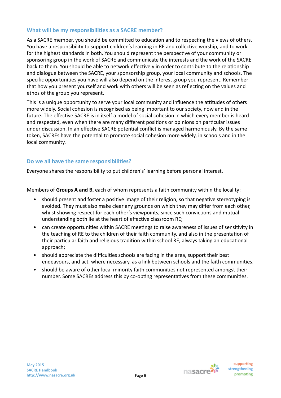# **What will be my responsibilities as a SACRE member?**

As a SACRE member, you should be committed to education and to respecting the views of others. You have a responsibility to support children's learning in RE and collective worship, and to work for the highest standards in both. You should represent the perspective of your community or sponsoring group in the work of SACRE and communicate the interests and the work of the SACRE back to them. You should be able to network effectively in order to contribute to the relationship and dialogue between the SACRE, your sponsorship group, your local community and schools. The specific opportunities you have will also depend on the interest group you represent. Remember that how you present yourself and work with others will be seen as reflecting on the values and ethos of the group you represent.

This is a unique opportunity to serve your local community and influence the attitudes of others more widely. Social cohesion is recognised as being important to our society, now and in the future. The effective SACRE is in itself a model of social cohesion in which every member is heard and respected, even when there are many different positions or opinions on particular issues under discussion. In an effective SACRE potential conflict is managed harmoniously. By the same token, SACREs have the potential to promote social cohesion more widely, in schools and in the local community.

# Do we all have the same responsibilities?

Everyone shares the responsibility to put children's' learning before personal interest.

Members of **Groups A and B,** each of whom represents a faith community within the locality:

- should present and foster a positive image of their religion, so that negative stereotyping is avoided. They must also make clear any grounds on which they may differ from each other, whilst showing respect for each other's viewpoints, since such convictions and mutual understanding both lie at the heart of effective classroom RE;
- can create opportunities within SACRE meetings to raise awareness of issues of sensitivity in the teaching of RE to the children of their faith community, and also in the presentation of their particular faith and religious tradition within school RE, always taking an educational approach;
- should appreciate the difficulties schools are facing in the area, support their best endeavours, and act, where necessary, as a link between schools and the faith communities;
- should be aware of other local minority faith communities not represented amongst their number. Some SACREs address this by co-opting representatives from these communities.

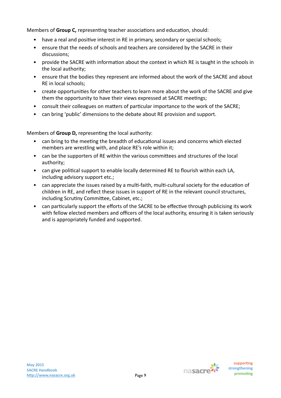Members of **Group C**, representing teacher associations and education, should:

- have a real and positive interest in RE in primary, secondary or special schools;
- ensure that the needs of schools and teachers are considered by the SACRE in their discussions;
- provide the SACRE with information about the context in which RE is taught in the schools in the local authority:
- ensure that the bodies they represent are informed about the work of the SACRE and about RE in local schools:
- create opportunities for other teachers to learn more about the work of the SACRE and give them the opportunity to have their views expressed at SACRE meetings;
- consult their colleagues on matters of particular importance to the work of the SACRE;
- can bring 'public' dimensions to the debate about RE provision and support.

Members of Group D, representing the local authority:

- can bring to the meeting the breadth of educational issues and concerns which elected members are wrestling with, and place RE's role within it;
- can be the supporters of RE within the various committees and structures of the local authority;
- can give political support to enable locally determined RE to flourish within each LA, including advisory support etc.;
- can appreciate the issues raised by a multi-faith, multi-cultural society for the education of children in RE, and reflect these issues in support of RE in the relevant council structures, including Scrutiny Committee, Cabinet, etc.;
- can particularly support the efforts of the SACRE to be effective through publicising its work with fellow elected members and officers of the local authority, ensuring it is taken seriously and is appropriately funded and supported.

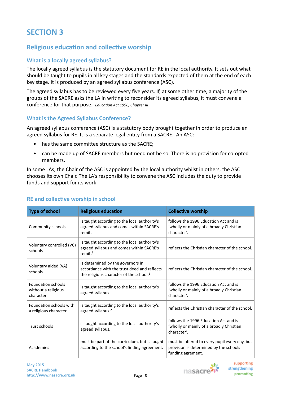# **Religious education and collective worship**

# **What is a locally agreed syllabus?**

The locally agreed syllabus is the statutory document for RE in the local authority. It sets out what should be taught to pupils in all key stages and the standards expected of them at the end of each key stage. It is produced by an agreed syllabus conference (ASC).

The agreed syllabus has to be reviewed every five years. If, at some other time, a majority of the groups of the SACRE asks the LA in writing to reconsider its agreed syllabus, it must convene a conference for that purpose. *Education Act 1996, Chapter III* 

# **What is the Agreed Syllabus Conference?**

An agreed syllabus conference (ASC) is a statutory body brought together in order to produce an agreed syllabus for RE. It is a separate legal entity from a SACRE. An ASC:

- has the same committee structure as the SACRE;
- can be made up of SACRE members but need not be so. There is no provision for co-opted members.

In some LAs, the Chair of the ASC is appointed by the local authority whilst in others, the ASC chooses its own Chair. The LA's responsibility to convene the ASC includes the duty to provide funds and support for its work.

| <b>Type of school</b>                                         | <b>Religious education</b>                                                                                                              | <b>Collective worship</b>                                                                                    |
|---------------------------------------------------------------|-----------------------------------------------------------------------------------------------------------------------------------------|--------------------------------------------------------------------------------------------------------------|
| Community schools                                             | is taught according to the local authority's<br>agreed syllabus and comes within SACRE's<br>remit.                                      | follows the 1996 Education Act and is<br>'wholly or mainly of a broadly Christian<br>character'.             |
| Voluntary controlled (VC)<br>schools                          | is taught according to the local authority's<br>agreed syllabus and comes within SACRE's<br>remit. $2$                                  | reflects the Christian character of the school.                                                              |
| Voluntary aided (VA)<br>schools                               | is determined by the governors in<br>accordance with the trust deed and reflects<br>the religious character of the school. <sup>1</sup> | reflects the Christian character of the school.                                                              |
| <b>Foundation schools</b><br>without a religious<br>character | is taught according to the local authority's<br>agreed syllabus.                                                                        | follows the 1996 Education Act and is<br>'wholly or mainly of a broadly Christian<br>character'.             |
| Foundation schools with<br>a religious character              | is taught according to the local authority's<br>agreed syllabus. <sup>2</sup>                                                           | reflects the Christian character of the school.                                                              |
| Trust schools                                                 | is taught according to the local authority's<br>agreed syllabus.                                                                        | follows the 1996 Education Act and is<br>'wholly or mainly of a broadly Christian<br>character'.             |
| Academies                                                     | must be part of the curriculum, but is taught<br>according to the school's finding agreement.                                           | must be offered to every pupil every day, but<br>provision is determined by the schools<br>funding agrement. |

# **RE** and collective worship in school



supporting strengthening promoting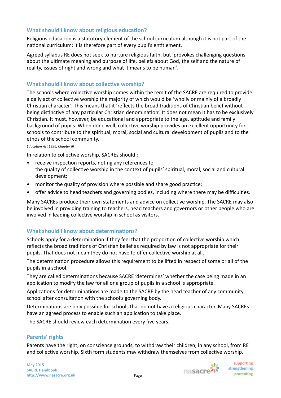# **What should I know about religious education?**

Religious education is a statutory element of the school curriculum although it is not part of the national curriculum; it is therefore part of every pupil's entitlement.

Agreed syllabus RE does not seek to nurture religious faith, but 'provokes challenging questions about the ultimate meaning and purpose of life, beliefs about God, the self and the nature of reality, issues of right and wrong and what it means to be human'.

# **What should I know about collective worship?**

The schools where collective worship comes within the remit of the SACRE are required to provide a daily act of collective worship the majority of which would be 'wholly or mainly of a broadly Christian character'. This means that it 'reflects the broad traditions of Christian belief without being distinctive of any particular Christian denomination'. It does not mean it has to be exclusively Christian. It must, however, be educational and appropriate to the age, aptitude and family background of pupils. When done well, collective worship provides an excellent opportunity for schools to contribute to the spiritual, moral, social and cultural development of pupils and to the ethos of the school community.

#### *Education Act 1996, Chapter III*

In relation to collective worship, SACREs should :

- $\bullet$  receive inspection reports, noting any references to the quality of collective worship in the context of pupils' spiritual, moral, social and cultural development;
- monitor the quality of provision where possible and share good practice;
- offer advice to head teachers and governing bodies, including where there may be difficulties.

Many SACREs produce their own statements and advice on collective worship. The SACRE may also be involved in providing training to teachers, head teachers and governors or other people who are involved in leading collective worship in school as visitors.

# **What should I know about determinations?**

Schools apply for a determination if they feel that the proportion of collective worship which reflects the broad traditions of Christian belief as required by law is not appropriate for their pupils. That does not mean they do not have to offer collective worship at all.

The determination procedure allows this requirement to be lifted in respect of some or all of the pupils in a school.

They are called determinations because SACRE 'determines' whether the case being made in an application to modify the law for all or a group of pupils in a school is appropriate.

Applications for determinations are made to the SACRE by the head teacher of any community school after consultation with the school's governing body.

Determinations are only possible for schools that do not have a religious character. Many SACREs have an agreed process to enable such an application to take place.

The SACRE should review each determination every five years.

# Parents' rights

Parents have the right, on conscience grounds, to withdraw their children, in any school, from RE and collective worship. Sixth form students may withdraw themselves from collective worship.



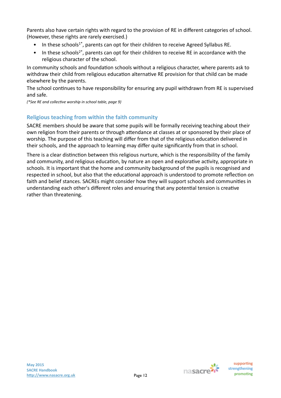Parents also have certain rights with regard to the provision of RE in different categories of school. (However, these rights are rarely exercised.)

- In these schools<sup>1\*</sup>, parents can opt for their children to receive Agreed Syllabus RE.
- In these schools<sup>2\*</sup>, parents can opt for their children to receive RE in accordance with the religious character of the school.

In community schools and foundation schools without a religious character, where parents ask to withdraw their child from religious education alternative RE provision for that child can be made elsewhere by the parents.

The school continues to have responsibility for ensuring any pupil withdrawn from RE is supervised and safe.

*(\*See RE and collec&ve worship in school table, page 9)*

# **Religious teaching from within the faith community**

SACRE members should be aware that some pupils will be formally receiving teaching about their own religion from their parents or through attendance at classes at or sponsored by their place of worship. The purpose of this teaching will differ from that of the religious education delivered in their schools, and the approach to learning may differ quite significantly from that in school.

There is a clear distinction between this religious nurture, which is the responsibility of the family and community, and religious education, by nature an open and explorative activity, appropriate in schools. It is important that the home and community background of the pupils is recognised and respected in school, but also that the educational approach is understood to promote reflection on faith and belief stances. SACREs might consider how they will support schools and communities in understanding each other's different roles and ensuring that any potential tension is creative rather than threatening.

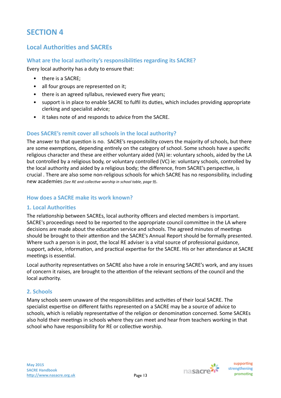# **Local Authorities and SACREs**

# **What are the local authority's responsibilities regarding its SACRE?**

Every local authority has a duty to ensure that:

- there is a SACRE:
- all four groups are represented on it;
- there is an agreed syllabus, reviewed every five years;
- support is in place to enable SACRE to fulfil its duties, which includes providing appropriate clerking and specialist advice;
- it takes note of and responds to advice from the SACRE.

# **Does SACRE's remit cover all schools in the local authority?**

The answer to that question is no. SACRE's responsibility covers the majority of schools, but there are some exemptions, depending entirely on the category of school. Some schools have a specific religious character and these are either voluntary aided (VA) ie: voluntary schools, aided by the LA but controlled by a religious body, or voluntary controlled (VC) ie: voluntary schools, controlled by the local authority and aided by a religious body; the difference, from SACRE's perspective, is crucial . There are also some non-religious schools for which SACRE has no responsibility, including new academies (See RE and collective worship in school table, page 9).

# **How does a SACRE make its work known?**

# **1. Local Authorities**

The relationship between SACREs, local authority officers and elected members is important. SACRE's proceedings need to be reported to the appropriate council committee in the LA where decisions are made about the education service and schools. The agreed minutes of meetings should be brought to their attention and the SACRE's Annual Report should be formally presented. Where such a person is in post, the local RE adviser is a vital source of professional guidance, support, advice, information, and practical expertise for the SACRE. His or her attendance at SACRE meetings is essential.

Local authority representatives on SACRE also have a role in ensuring SACRE's work, and any issues of concern it raises, are brought to the attention of the relevant sections of the council and the local authority.

# **2. Schools**

Many schools seem unaware of the responsibilities and activities of their local SACRE. The specialist expertise on different faiths represented on a SACRE may be a source of advice to schools, which is reliably representative of the religion or denomination concerned. Some SACREs also hold their meetings in schools where they can meet and hear from teachers working in that school who have responsibility for RE or collective worship.

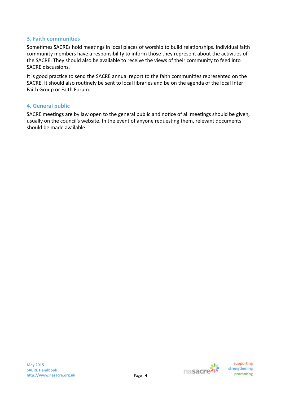# **3. Faith communities**

Sometimes SACREs hold meetings in local places of worship to build relationships. Individual faith community members have a responsibility to inform those they represent about the activities of the SACRE. They should also be available to receive the views of their community to feed into SACRE discussions.

It is good practice to send the SACRE annual report to the faith communities represented on the SACRE. It should also routinely be sent to local libraries and be on the agenda of the local Inter Faith Group or Faith Forum.

#### **4. General public**

SACRE meetings are by law open to the general public and notice of all meetings should be given, usually on the council's website. In the event of anyone requesting them, relevant documents should be made available.